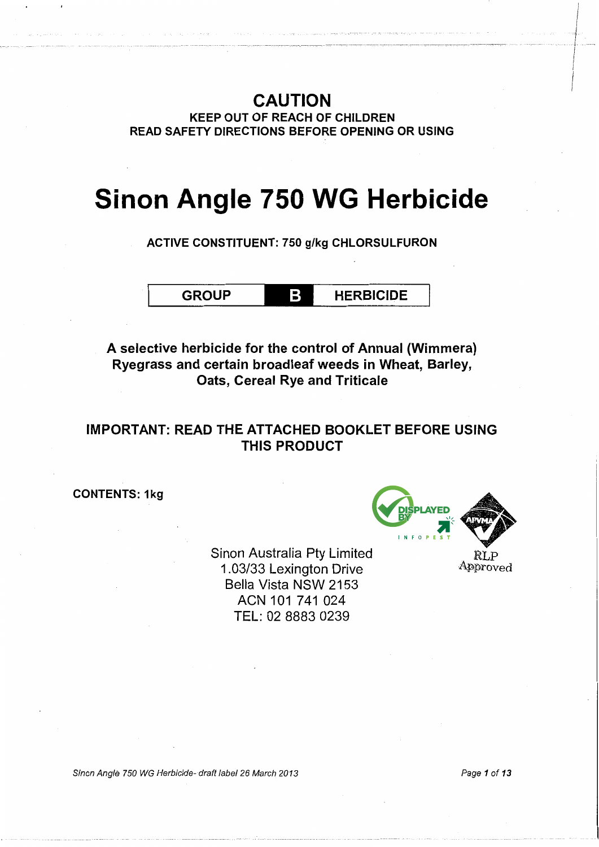## CAUTION

KEEP OUT OF REACH OF CHILDREN READ SAFETY DIRECTIONS BEFORE OPENING OR USING

# **Sinon Angle 750 WG Herbicide**

ACTIVE CONSTITUENT: 750 g/kg CHLORSULFURON

GROUP **HERBICIDE** 

A selective herbicide for the control of Annual (Wimmera) Ryegrass and certain broadleaf weeds in Wheat, Barley, Oats, Cereal Rye and Triticale

## IMPORTANT: READ THE ATTACHED BOOKLET BEFORE USING THIS PRODUCT

CONTENTS: 1kg

Sinon Australia Pty Limited 1.03/33 Lexington Drive Bella Vista NSW 2153 ACN 101 741 024 TEL: 02 8883 0239



RLP Approved

Sinon Angle 750 WG Herbicide- draft /abe/26 March 2013

Page 1 of 13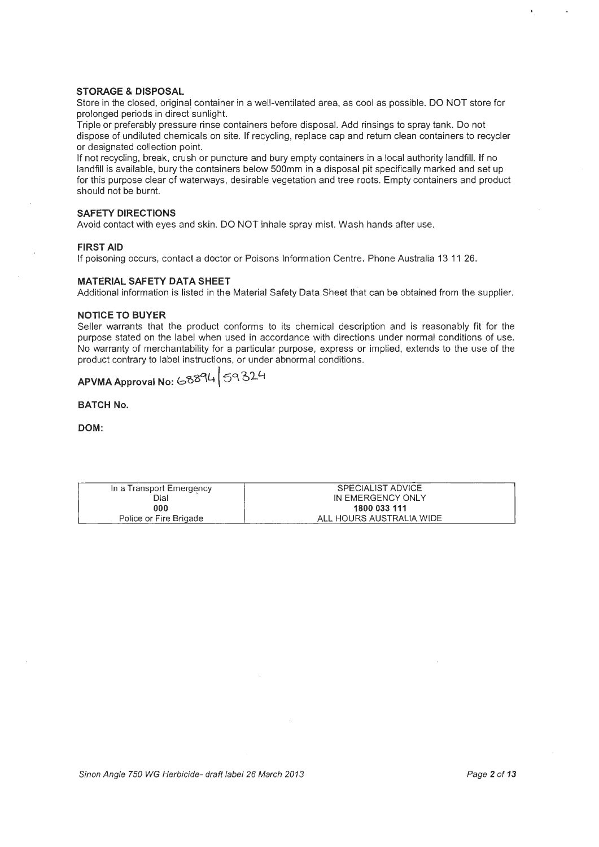#### STORAGE & DISPOSAL

Store in the closed, original container in a well-ventilated area, as cool as possible. DO NOT store for prolonged periods in direct sunlight.

Triple or preferably pressure rinse containers before disposal. Add rinsings to spray tank. Do not dispose of undiluted chemicals on site. If recycling, replace cap and return clean containers to recycler or designated collection point.

If not recycling, break, crush or puncture and bury empty containers in a local authority landfill. If no landfill is available, bury the containers below 500mm in a disposal pit specifically marked and set up for this purpose clear of waterways, desirable vegetation and tree roots. Empty containers and product should not be burnt.

#### SAFETY DIRECTIONS

Avoid contact with eyes and skin. DO NOT inhale spray mist. Wash hands after use.

#### FIRST AID

If poisoning occurs, contact a doctor or Poisons Information Centre. Phone Australia 13 11 26.

#### MATERIAL SAFETY DATA SHEET

Additional information is listed in the Material Safety Data Sheet that can be obtained from the supplier.

#### NOTICE TO BUYER

Seller warrants that the product conforms to its chemical description and is reasonably fit for the purpose stated on the label when used in accordance with directions under normal conditions of use. No warranty of merchantability for a particular purpose, express or implied, extends to the use of the product contrary to label instructions, or under abnormal conditions.

## APVMA Approval No: 68894 59324

BATCH No.

DOM:

| In a Transport Emergency | SPECIALIST ADVICE        |
|--------------------------|--------------------------|
| Dial                     | IN EMERGENCY ONLY        |
| 000                      | 1800 033 111             |
| Police or Fire Brigade   | ALL HOURS AUSTRALIA WIDE |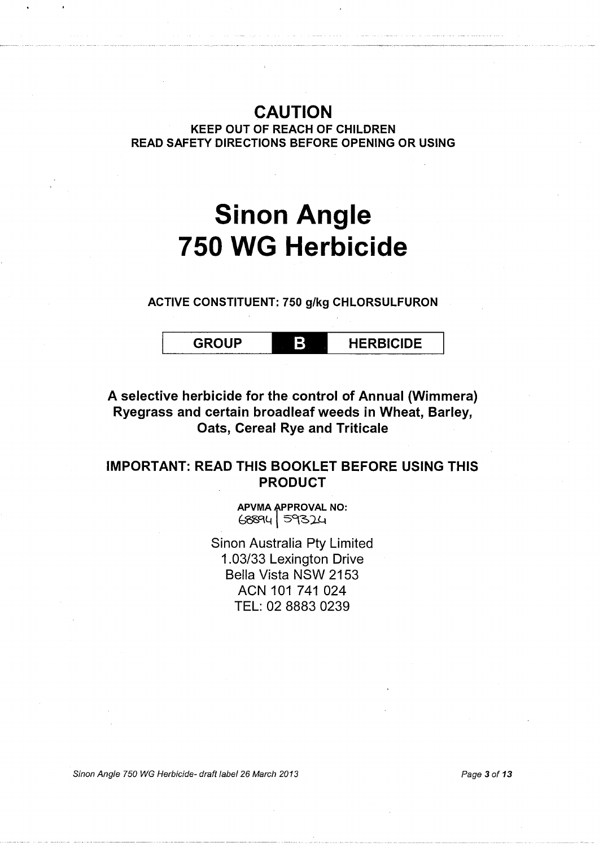## CAUTION

KEEP OUT OF REACH OF CHILDREN READ SAFETY DIRECTIONS BEFORE OPENING OR USING

# **Sinon Angle 750 WG Herbicide**

ACTIVE CONSTITUENT: 750 g/kg CHLORSULFURON

GROUP **HERBICIDE** 

## A selective herbicide for the control of Annual (Wimmera) Ryegrass and certain broadleaf weeds in Wheat, Barley, Oats, Cereal Rye and Triticale

### IMPORTANT: READ THIS BOOKLET BEFORE USING THIS PRODUCT

APVMA APPROVAL NO:  $68894$   $59324$ 

Sinon Australia Pty Limited 1.03/33 Lexington Drive Bella Vista NSW 2153 ACN 101 741 024 TEL: 02 8883 0239

Sinon Angle 750 WG Herbicide- draft label 26 March 2013 **Page 3 of 13** Page 3 of 13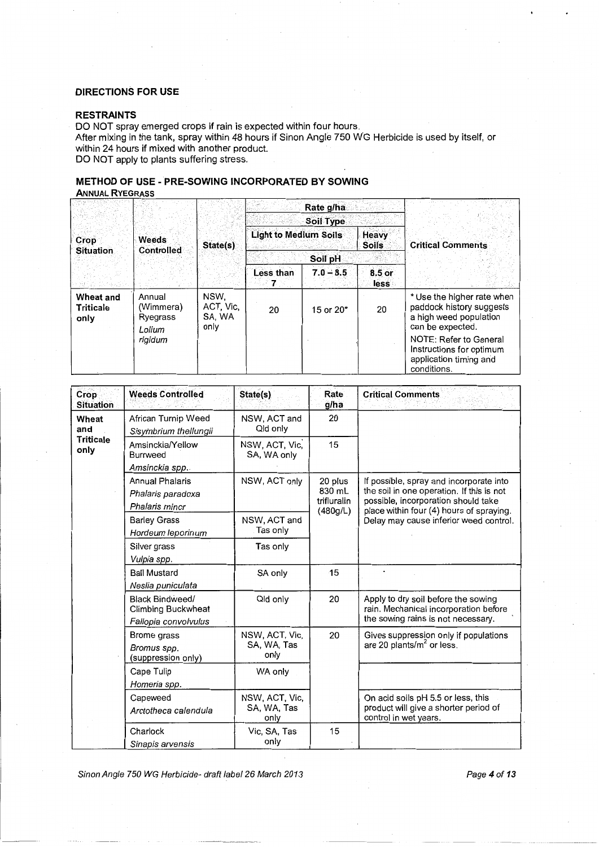#### DIRECTIONS FOR USE

#### RESTRAINTS

DO NOT spray emerged crops if rain is expected within four hours.

After mixing in the tank, spray within 48 hours if Sinon Angle 750 W'G Herbicide is used by itself, or within 24 hours if mixed with another product. DO NOT apply to plants suffering stress.

METHOD OF USE - PRE-SOWING INCORPORATED BY SOWING

### **ANNUAL RYEGRASS**

|                                       | Weeds<br><b>Controlled</b>                | State(s)                            |                              | Rate g/ha<br>Soil Type |                              |                                                                                                      |
|---------------------------------------|-------------------------------------------|-------------------------------------|------------------------------|------------------------|------------------------------|------------------------------------------------------------------------------------------------------|
| Crop<br><b>Situation</b>              |                                           |                                     | <b>Light to Medium Soils</b> |                        | <b>Heavy</b><br><b>Soils</b> | <b>Critical Comments</b>                                                                             |
|                                       |                                           |                                     | Soil pH                      |                        |                              |                                                                                                      |
|                                       |                                           |                                     | Less than<br>7.              | $7.0 - 8.5$            | $8.5$ or<br>less             |                                                                                                      |
| <b>Wheat and</b><br>Triticale<br>only | Annual<br>(Wimmera)<br>Ryegrass<br>Lolium | NSW.<br>ACT, Vic.<br>SA, WA<br>only | 20                           | 15 or 20*              | 20                           | * Use the higher rate when<br>paddock history suggests<br>a high weed population<br>can be expected. |
|                                       | rigidum                                   |                                     |                              |                        |                              | NOTE: Refer to General<br>Instructions for optimum<br>application timing and<br>conditions.          |

| Crop<br><b>Situation</b> | <b>Weeds Controlled</b>                                                     | State(s)                              | Rate<br>g/ha            | <b>Critical Comments</b>                                                                                           |
|--------------------------|-----------------------------------------------------------------------------|---------------------------------------|-------------------------|--------------------------------------------------------------------------------------------------------------------|
| Wheat<br>and             | African Turnip Weed<br>Sisymbrium thellungii                                | NSW, ACT and<br>Qld only              | 20                      |                                                                                                                    |
| <b>Triticale</b><br>only | Amsinckia/Yellow<br>Burrweed                                                | NSW, ACT, Vic.<br>SA, WA only         | 15                      |                                                                                                                    |
|                          | Amsinckia spp.                                                              |                                       |                         |                                                                                                                    |
|                          | Annual Phalaris                                                             | NSW, ACT only                         | 20 plus                 | If possible, spray and incorporate into                                                                            |
|                          | Phalaris paradoxa                                                           |                                       | 830 mL                  | the soil in one operation. If this is not                                                                          |
|                          | Phalaris minor                                                              |                                       | trifluralin<br>(480g/L) | possible, incorporation should take<br>place within four (4) hours of spraying.                                    |
|                          | <b>Barley Grass</b>                                                         | NSW, ACT and                          |                         | Delay may cause inferior weed control.                                                                             |
|                          | Hordeum leporinum                                                           | Tas only                              |                         |                                                                                                                    |
|                          | Silver grass                                                                | Tas only                              |                         |                                                                                                                    |
|                          | Vulpia spp.                                                                 |                                       |                         |                                                                                                                    |
|                          | <b>Ball Mustard</b>                                                         | SA only                               | 15                      |                                                                                                                    |
|                          | Neslia puniculata                                                           |                                       |                         |                                                                                                                    |
|                          | <b>Black Bindweed/</b><br><b>Climbing Buckwheat</b><br>Fallopia convolvulus | Qld only                              | 20                      | Apply to dry soil before the sowing<br>rain. Mechanical incorporation before<br>the sowing rains is not necessary. |
|                          | Brome grass<br>Bromus spp.<br>(suppression only)                            | NSW, ACT, Vic,<br>SA, WA, Tas<br>only | 20                      | Gives suppression only if populations<br>are 20 plants/m <sup>2</sup> or less.                                     |
|                          | Cape Tulip                                                                  | WA only                               |                         |                                                                                                                    |
|                          | Homeria spp.                                                                |                                       |                         |                                                                                                                    |
|                          | Capeweed<br>Arctotheca calendula                                            | NSW, ACT, Vic,<br>SA, WA, Tas<br>only |                         | On acid soils pH 5.5 or less, this<br>product will give a shorter period of<br>control in wet years.               |
|                          | Charlock<br>Sínapis arvensis                                                | Vic, SA, Tas<br>only                  | 15                      |                                                                                                                    |

Sinon Angle 750 WG Herbicide- draft label 26 March 2013 **Page 4 of 13** Page 4 of 13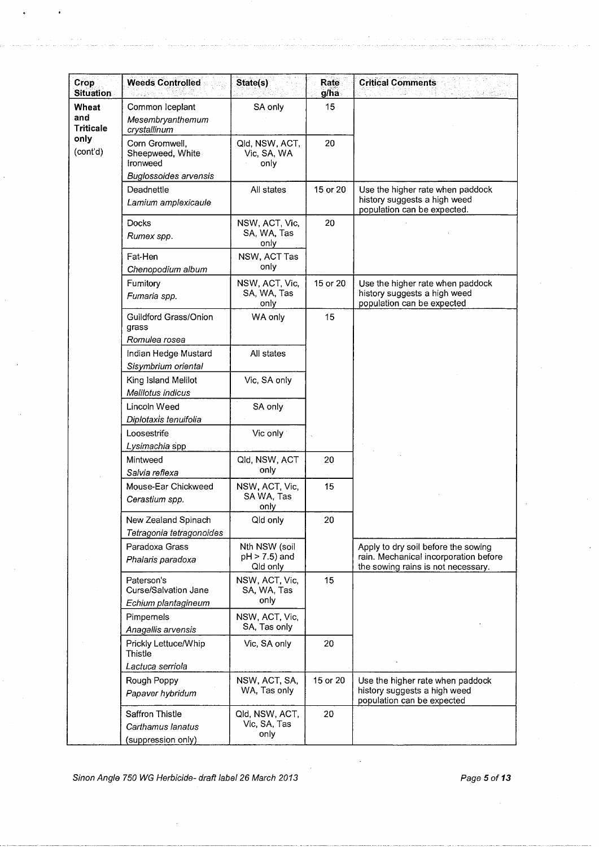| <b>Crop</b><br><b>Situation</b>  | <b>Weeds Controlled</b>                                                 | State(s)                                   | Rate<br>g/ha | <b>Critical Comments</b>                                                                                           |
|----------------------------------|-------------------------------------------------------------------------|--------------------------------------------|--------------|--------------------------------------------------------------------------------------------------------------------|
| Wheat<br>and<br><b>Triticale</b> | Common Iceplant<br>Mesembryanthemum<br>crystallinum                     | SA only                                    | 15           |                                                                                                                    |
| only<br>(cont'd)                 | Corn Gromwell,<br>Sheepweed, White<br>Ironweed<br>Buglossoides arvensis | Qld, NSW, ACT,<br>Vic, SA, WA<br>only      | 20           |                                                                                                                    |
|                                  | Deadnettle<br>Lamium amplexicaule                                       | All states                                 | 15 or 20     | Use the higher rate when paddock<br>history suggests a high weed<br>population can be expected.                    |
|                                  | Docks<br>Rumex spp.                                                     | NSW, ACT, Vic,<br>SA, WA, Tas<br>only      | 20           |                                                                                                                    |
|                                  | Fat-Hen<br>Chenopodium album                                            | NSW, ACT Tas<br>only                       |              |                                                                                                                    |
|                                  | Fumitory<br>Fumaria spp.                                                | NSW, ACT, Vic,<br>SA, WA, Tas<br>only      | 15 or 20     | Use the higher rate when paddock<br>history suggests a high weed<br>population can be expected                     |
|                                  | Guildford Grass/Onion<br>grass<br>Romulea rosea                         | WA only                                    | 15           |                                                                                                                    |
|                                  | Indian Hedge Mustard<br>Sisymbrium oriental                             | All states                                 |              |                                                                                                                    |
|                                  | King Island Melilot<br>Melilotus indicus                                | Vic, SA only                               |              |                                                                                                                    |
|                                  | Lincoln Weed<br>Diplotaxis tenuifolia                                   | SA only                                    |              |                                                                                                                    |
|                                  | Loosestrife<br>Lysimachia spp                                           | Vic only                                   |              |                                                                                                                    |
|                                  | Mintweed<br>Salvia reflexa                                              | Qld, NSW, ACT<br>only                      | 20           |                                                                                                                    |
|                                  | Mouse-Ear Chickweed<br>Cerastium spp.                                   | NSW, ACT, Vic,<br>SA WA, Tas<br>only       | 15           |                                                                                                                    |
|                                  | New Zealand Spinach<br>Tetragonia tetragonoides                         | Qld only                                   | 20           |                                                                                                                    |
|                                  | Paradoxa Grass<br>Phalaris paradoxa                                     | Nth NSW (soil<br>pH > 7.5) and<br>Qld only |              | Apply to dry soil before the sowing<br>rain. Mechanical incorporation before<br>the sowing rains is not necessary. |
|                                  | Paterson's<br><b>Curse/Salvation Jane</b><br>Echium plantagineum        | NSW, ACT, Vic,<br>SA, WA, Tas<br>only      | 15           |                                                                                                                    |
|                                  | Pimpernels<br>Anagallis arvensis                                        | NSW, ACT, Vic,<br>SA, Tas only             |              |                                                                                                                    |
|                                  | Prickly Lettuce/Whip<br>Thistle<br>Lactuca serriola                     | Vic, SA only                               | 20           |                                                                                                                    |
|                                  | Rough Poppy<br>Papaver hybridum                                         | NSW, ACT, SA,<br>WA, Tas only              | 15 or 20     | Use the higher rate when paddock<br>history suggests a high weed<br>population can be expected                     |
|                                  | Saffron Thistle<br>Carthamus lanatus<br>(suppression only)              | Qld, NSW, ACT,<br>Vic, SA, Tas<br>only     | 20           |                                                                                                                    |

Sinon Angle 750 WG Herbicide- draft label 26 March 2013 **Page 5 of 13** Page 5 of 13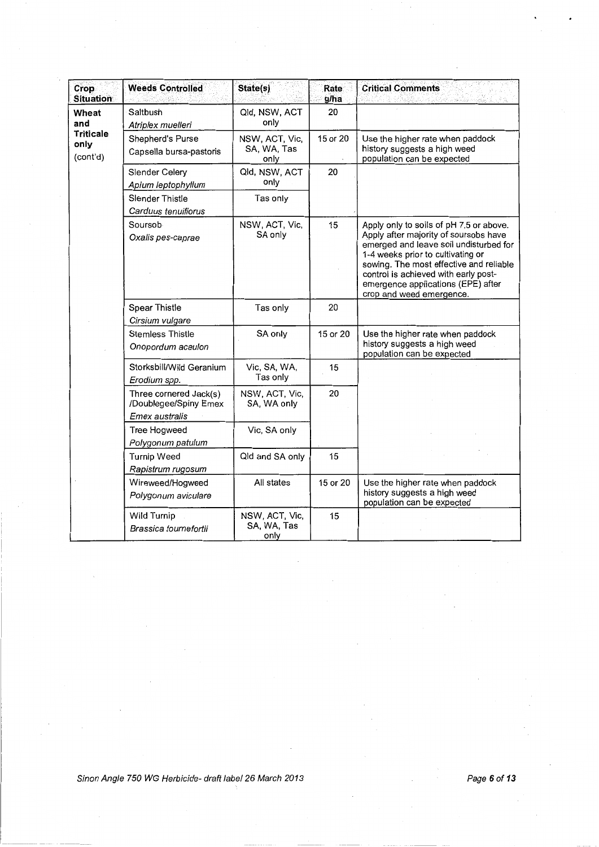| Crop<br><b>Situation</b>             | <b>Weeds Controlled</b>                                           | State(s)                              | Rate<br>g/ha | <b>Critical Comments</b>                                                                                                                                                                                                                                                                                             |
|--------------------------------------|-------------------------------------------------------------------|---------------------------------------|--------------|----------------------------------------------------------------------------------------------------------------------------------------------------------------------------------------------------------------------------------------------------------------------------------------------------------------------|
| Wheat<br>and                         | Saltbush<br>Atriplex muelleri                                     | Qld, NSW, ACT<br>only                 | 20           |                                                                                                                                                                                                                                                                                                                      |
| <b>Triticale</b><br>only<br>(cont'd) | Shepherd's Purse<br>Capsella bursa-pastoris                       | NSW, ACT, Vic,<br>SA, WA, Tas<br>only | 15 or 20     | Use the higher rate when paddock<br>history suggests a high weed<br>population can be expected                                                                                                                                                                                                                       |
|                                      | Slender Celery<br>Apium leptophyllum                              | Qld, NSW, ACT<br>only                 | 20           |                                                                                                                                                                                                                                                                                                                      |
|                                      | <b>Slender Thistle</b><br>Carduus tenuiflorus                     | Tas only                              |              |                                                                                                                                                                                                                                                                                                                      |
|                                      | Soursob<br>Oxalis pes-caprae                                      | NSW, ACT, Vic,<br>SA only             | 15           | Apply only to soils of pH 7.5 or above.<br>Apply after majority of soursobs have<br>emerged and leave soil undisturbed for<br>1-4 weeks prior to cultivating or<br>sowing. The most effective and reliable<br>control is achieved with early post-<br>emergence applications (EPE) after<br>crop and weed emergence. |
|                                      | <b>Spear Thistle</b><br>Cirsium vulgare                           | Tas only                              | 20           |                                                                                                                                                                                                                                                                                                                      |
|                                      | <b>Stemless Thistle</b><br>Onopordum acaulon                      | SA only                               | 15 or 20     | Use the higher rate when paddock<br>history suggests a high weed<br>population can be expected                                                                                                                                                                                                                       |
|                                      | Storksbill/Wild Geranium<br>Erodium spp.                          | Vic, SA, WA,<br>Tas only              | 15           |                                                                                                                                                                                                                                                                                                                      |
|                                      | Three cornered Jack(s)<br>/Doublegee/Spiny Emex<br>Emex australis | NSW, ACT, Vic,<br>SA, WA only         | 20           |                                                                                                                                                                                                                                                                                                                      |
|                                      | <b>Tree Hogweed</b><br>Polygonum patulum                          | Vic, SA only                          |              |                                                                                                                                                                                                                                                                                                                      |
|                                      | Turnip Weed<br>Rapistrum rugosum                                  | Qld and SA only                       | 15           |                                                                                                                                                                                                                                                                                                                      |
|                                      | Wireweed/Hogweed<br>Polygonum aviculare                           | All states                            | 15 or 20     | Use the higher rate when paddock<br>history suggests a high weed<br>population can be expected                                                                                                                                                                                                                       |
|                                      | <b>Wild Turnip</b><br>Brassica tournefortii                       | NSW, ACT, Vic,<br>SA, WA, Tas<br>only | 15           |                                                                                                                                                                                                                                                                                                                      |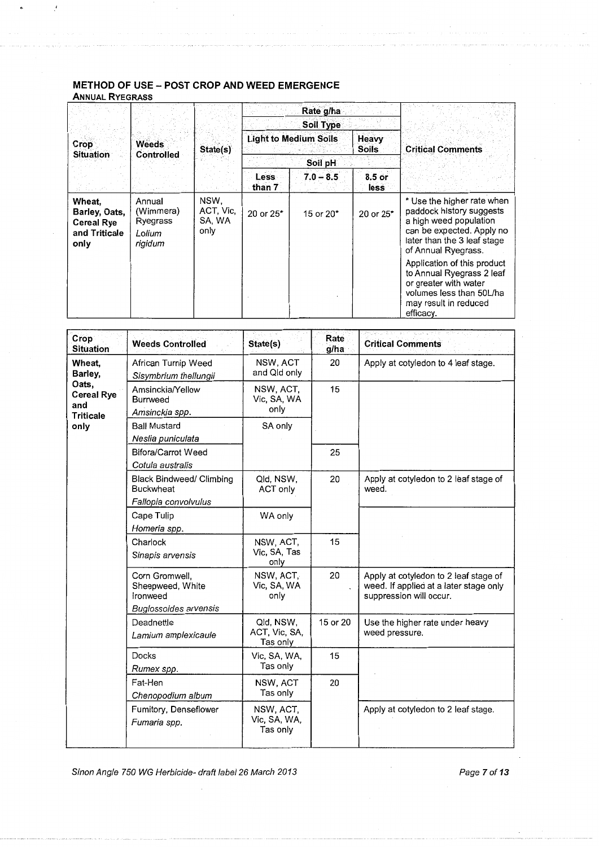#### **METHOD OF USE- POST CROP AND WEED EMERGENCE ANNUAL RYEGRASS**

 $\mathcal{L}$ 

 $\bullet$ 

|                                                                       |                                                      |                                     | Rate g/ha<br>Soil Type                                |             |                 | <b>Critical Comments</b>                                                                                                                                            |
|-----------------------------------------------------------------------|------------------------------------------------------|-------------------------------------|-------------------------------------------------------|-------------|-----------------|---------------------------------------------------------------------------------------------------------------------------------------------------------------------|
| <b>Crop</b><br><b>Situation</b>                                       | Weeds<br>Controlled                                  | State(s)                            | <b>Light to Medium Soils</b><br>Heavy<br><b>Soils</b> |             |                 |                                                                                                                                                                     |
|                                                                       |                                                      |                                     | Soil pH                                               |             |                 |                                                                                                                                                                     |
|                                                                       |                                                      |                                     | Less<br>than 7                                        | $7.0 - 8.5$ | 8.5 or<br>less: |                                                                                                                                                                     |
| Wheat.<br>Barley, Oats,<br><b>Cereal Rye</b><br>and Triticale<br>only | Annual<br>(Wimmera)<br>Ryegrass<br>Lolium<br>rigidum | NSW,<br>ACT, Vic,<br>SA, WA<br>only | 20 or 25*                                             | 15 or 20*   | 20 or 25*       | * Use the higher rate when<br>paddock history suggests<br>a high weed population<br>can be expected. Apply no<br>later than the 3 leaf stage<br>of Annual Ryegrass. |
|                                                                       |                                                      |                                     |                                                       |             |                 | Application of this product<br>to Annual Ryegrass 2 leaf<br>or greater with water<br>volumes less than 50L/ha<br>may result in reduced<br>efficacy.                 |

| Crop<br><b>Situation</b>                              | <b>Weeds Controlled</b>                                                        | State(s)                               | Rate<br>g/ha | <b>Critical Comments</b>                                                                                   |
|-------------------------------------------------------|--------------------------------------------------------------------------------|----------------------------------------|--------------|------------------------------------------------------------------------------------------------------------|
| Wheat,<br>Barley,                                     | African Turnip Weed<br>Sisymbrium thellungii                                   | NSW, ACT<br>and Qld only               | 20           | Apply at cotyledon to 4 leaf stage.                                                                        |
| Oats,<br><b>Cereal Rye</b><br>and<br><b>Triticale</b> | Amsinckia/Yellow<br><b>Burrweed</b><br>Amsinckia spp.                          | NSW, ACT,<br>Vic, SA, WA<br>only       | 15           |                                                                                                            |
| only                                                  | <b>Ball Mustard</b><br>Neslia puniculata                                       | SA only                                |              |                                                                                                            |
|                                                       | <b>Bifora/Carrot Weed</b><br>Cotula australis                                  |                                        | 25           |                                                                                                            |
|                                                       | <b>Black Bindweed/ Climbing</b><br><b>Buckwheat</b>                            | Qld, NSW,<br>ACT only                  | 20           | Apply at cotyledon to 2 leaf stage of<br>weed.                                                             |
|                                                       | Fallopia convolvulus                                                           |                                        |              |                                                                                                            |
|                                                       | Cape Tulip<br>Homeria spp.                                                     | WA only                                |              |                                                                                                            |
|                                                       | Charlock<br>Sinapis arvensis                                                   | NSW, ACT,<br>Vic, SA, Tas<br>only      | 15           |                                                                                                            |
|                                                       | Corn Gromwell,<br>Sheepweed, White<br>Ironweed<br><b>Buglossoides arvensis</b> | NSW, ACT,<br>Vic, SA, WA<br>only       | 20           | Apply at cotyledon to 2 leaf stage of<br>weed. If applied at a later stage only<br>suppression will occur. |
|                                                       | Deadnettle<br>Lamium amplexicaule                                              | Qld, NSW,<br>ACT, Vic, SA,<br>Tas only | 15 or 20     | Use the higher rate under heavy<br>weed pressure.                                                          |
|                                                       | <b>Docks</b><br>Rumex spp.                                                     | Vic, SA, WA,<br>Tas only               | 15           |                                                                                                            |
|                                                       | Fat-Hen<br>Chenopodium album                                                   | NSW, ACT<br>Tas only                   | 20           |                                                                                                            |
|                                                       | Fumitory, Denseflower<br>Fumaria spp.                                          | NSW, ACT,<br>Vic, SA, WA,<br>Tas only  |              | Apply at cotyledon to 2 leaf stage.                                                                        |

Sinon Angle 750 WG Herbicide- draft label 26 March 2013

Page 7 of 13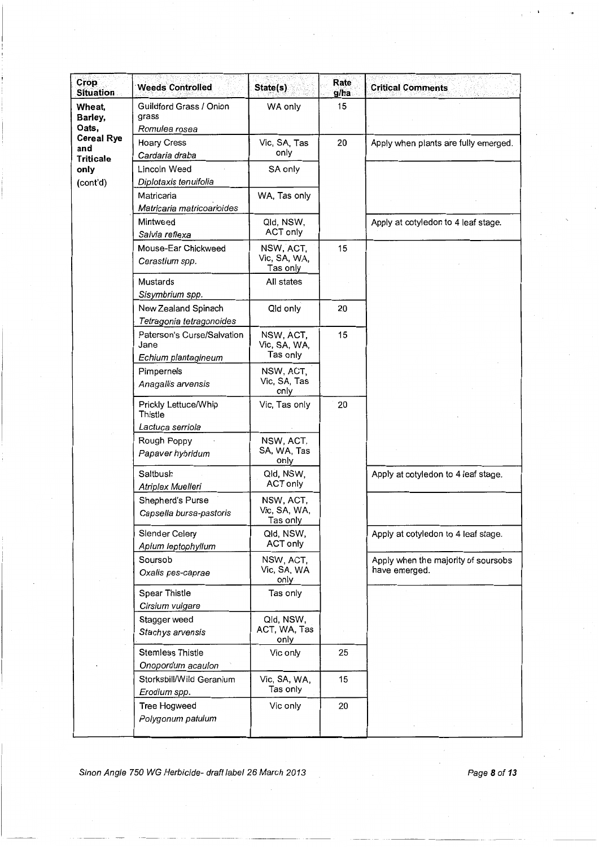| <b>Crop</b><br><b>Situation</b>              | <b>Weeds Controlled</b>                                   | State(s)                              | Rate<br>g/ha | <b>Critical Comments</b>                             |
|----------------------------------------------|-----------------------------------------------------------|---------------------------------------|--------------|------------------------------------------------------|
| Wheat,<br>Barley,<br>Oats,                   | Guildford Grass / Onion<br>grass<br>Romulea rosea         | WA only                               | 15           |                                                      |
| <b>Cereal Rye</b><br>and<br><b>Triticale</b> | <b>Hoary Cress</b><br>Cardaria draba                      | Vic, SA, Tas<br>only                  | 20           | Apply when plants are fully emerged.                 |
| only<br>(cont'd)                             | Lincoln Weed<br>Diplotaxis tenuifolia                     | SA only                               |              |                                                      |
|                                              | Matricaria<br>Matricaria matricoarioides                  | WA, Tas only                          |              |                                                      |
|                                              | Mintweed<br>Salvia reflexa                                | Qld, NSW,<br>ACT only                 |              | Apply at cotyledon to 4 leaf stage.                  |
|                                              | Mouse-Ear Chickweed<br>Cerastium spp.                     | NSW, ACT,<br>Vic, SA, WA,<br>Tas only | 15           |                                                      |
|                                              | Mustards<br>Sisymbrium spp.                               | All states                            |              |                                                      |
|                                              | New Zealand Spinach<br>Tetragonia tetragonoides           | Qld only                              | 20           |                                                      |
|                                              | Paterson's Curse/Salvation<br>Jane<br>Echium plantagineum | NSW, ACT,<br>Vic, SA, WA,<br>Tas only | 15           |                                                      |
|                                              | Pimpernels<br>Anagallis arvensis                          | NSW, ACT,<br>Vic, SA, Tas<br>only     |              |                                                      |
|                                              | Prickly Lettuce/Whip<br>Thistle<br>Lactuca serriola       | Vic, Tas only                         | 20           |                                                      |
|                                              | Rough Poppy<br>Papaver hybridum                           | NSW, ACT,<br>SA, WA, Tas<br>only      |              |                                                      |
|                                              | Saltbush<br>Atriplex Muelleri                             | Qld, NSW,<br>ACT only                 |              | Apply at cotyledon to 4 leaf stage.                  |
|                                              | Shepherd's Purse<br>Capsella bursa-pastoris               | NSW, ACT,<br>Vic, SA, WA,<br>Tas only |              |                                                      |
|                                              | Slender Celery<br>Apium leptophyllum                      | Qld, NSW,<br>ACT only                 |              | Apply at cotyledon to 4 leaf stage.                  |
|                                              | Soursob<br>Oxalis pes-caprae                              | NSW, ACT,<br>Vic, SA, WA<br>only      |              | Apply when the majority of soursobs<br>have emerged. |
|                                              | <b>Spear Thistle</b><br>Cirsium vulgare                   | Tas only                              |              |                                                      |
|                                              | Stagger weed<br>Stachys arvensis                          | Qld, NSW,<br>ACT, WA, Tas<br>only     |              |                                                      |
|                                              | <b>Stemless Thistle</b><br>Onopordum acaulon              | Vic only                              | 25           |                                                      |
|                                              | Storksbill/Wild Geranium<br>Erodium spp.                  | Vic, SA, WA,<br>Tas only              | 15           |                                                      |
|                                              | <b>Tree Hogweed</b><br>Polygonum patulum                  | Vic only                              | 20           |                                                      |

Sinon Angle 750 WG Herbicide- draft label 26 March 2013 Page 8 of 13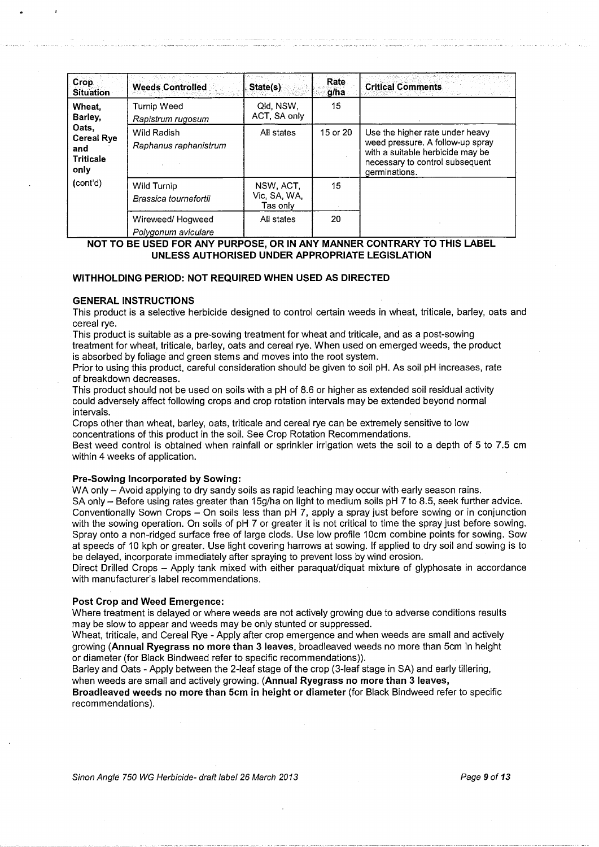| Crop.<br><b>Situation</b>                                                                      | <b>Weeds Controlled</b>                 | State(s)                              | Rate<br>g/ha | <b>Critical Comments</b>                                                                                                                                    |
|------------------------------------------------------------------------------------------------|-----------------------------------------|---------------------------------------|--------------|-------------------------------------------------------------------------------------------------------------------------------------------------------------|
| Wheat.<br>Barley,<br>Oats,<br><b>Cereal Rye</b><br>and<br><b>Triticale</b><br>only<br>(cont'd) | Turnip Weed<br>Rapistrum rugosum        | Qld, NSW.<br>ACT, SA only             | 15           |                                                                                                                                                             |
|                                                                                                | Wild Radish<br>Raphanus raphanistrum    | All states                            | 15 or 20     | Use the higher rate under heavy<br>weed pressure. A follow-up spray<br>with a suitable herbicide may be<br>necessary to control subsequent<br>germinations. |
|                                                                                                | Wild Turnip<br>Brassica tournefortii    | NSW, ACT.<br>Vic. SA. WA.<br>Tas onlv | 15           |                                                                                                                                                             |
|                                                                                                | Wireweed/Hogweed<br>Polygonum aviculare | All states                            | 20           |                                                                                                                                                             |

**NOT TO BE USED FOR ANY PURPOSE, OR IN ANY MANNER CONTRARY TO THIS LABEL UNLESS AUTHORISED UNDER APPROPRIATE LEGISLATION** 

#### **WITHHOLDING PERIOD: NOT REQUIRED WHEN USED AS DIRECTED**

#### **GENERAL INSTRUCTIONS**

This product is a selective herbicide designed to control certain weeds in wheat, triticale, barley, oats and cereal rye.

This product is suitable as a pre-sowing treatment for wheat and triticale, and as a post-sowing treatment for wheat, triticale, barley, oats and cereal rye. When used on emerged weeds, the product is absorbed by foliage and green stems and moves into the root system.

Prior to using this product, careful consideration should be given to soil pH. As soil pH increases, rate of breakdown decreases.

This product should not be used on soils with a pH of 8.6 or higher as extended soil residual activity could adversely affect following crops and crop rotation intervals may be extended beyond normal intervals.

Crops other than wheat, barley, oats, triticale and cereal rye can be extremely sensitive to low concentrations of this product in the soil. See Crop Rotation Recommendations.

Best weed control is obtained when rainfall or sprinkler irrigation wets the soil to a depth of 5 to 7.5 em within 4 weeks of application.

#### **Pre-Sowing Incorporated by Sowing:**

WA only - Avoid applying to dry sandy soils as rapid leaching may occur with early season rains.

SA only - Before using rates greater than 15g/ha on light to medium soils pH 7 to 8.5, seek further advice. Conventionally Sown Crops - On soils less than pH 7, apply a spray just before sowing or in conjunction with the sowing operation. On soils of pH 7 or greater it is not critical to time the spray just before sowing. Spray onto a non-ridged surface free of large clods. Use low profile 10cm combine points for sowing. Sow at speeds of 10 kph or greater. Use light covering harrows at sowing. If applied to dry soil and sowing is to be delayed, incorporate immediately after spraying to prevent loss by wind erosion.

Direct Drilled Crops - Apply tank mixed with either paraquat/diquat mixture of glyphosate in accordance with manufacturer's label recommendations.

#### **Post Crop and Weed Emergence:**

Where treatment is delayed or where weeds are not actively growing due to adverse conditions results may be slow to appear and weeds may be only stunted or suppressed.

Wheat, triticale, and Cereal Rye - Apply after crop emergence and when weeds are small and actively growing **(Annual Ryegrass no more than 3 leaves,** broadleaved weeds no more than 5cm in height or diameter (for Black Bindweed refer to specific recommendations)).

Barley and Oats - Apply between the 2-leaf stage of the crop (3-leaf stage in SA) and early tillering, when weeds are small and actively growing. **(Annual Ryegrass no more than 3 leaves,** 

**Broadleaved weeds no more than 5cm in height or diameter** (for Black Bindweed refer to specific recommendations).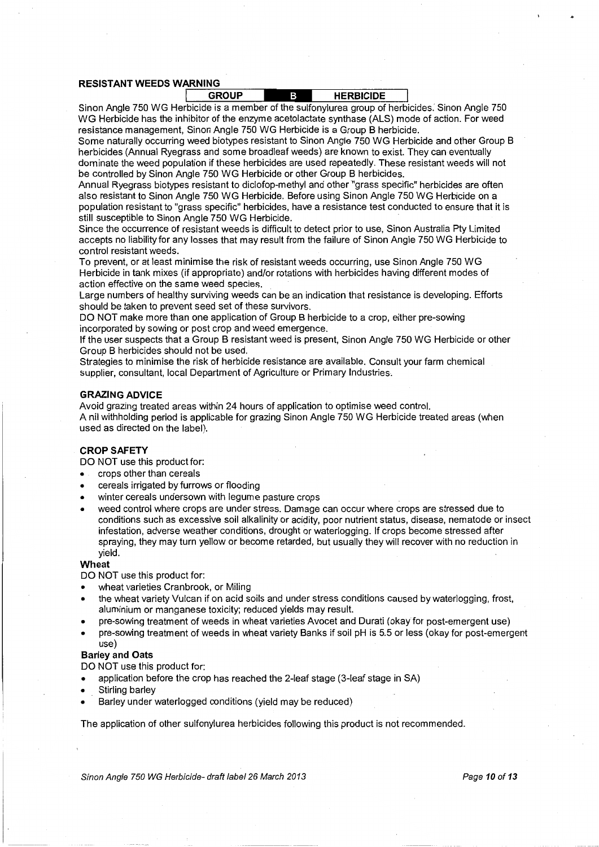#### **RESISTANT WEEDS WARNING**

| JUP.<br>GRC | <b>HERBICIDE</b> |
|-------------|------------------|
|             |                  |

Sinon Angle 750 WG Herbicide is a member of the sulfonylurea group of herbicides. Sinon Angle 750 WG Herbicide has the inhibitor of the enzyme acetolactate synthase (ALS) mode of action. For weed resistance management, Sinon Angle 750 WG Herbicide is a Group B herbicide.

Some naturally occurring weed biotypes resistant to Sinon Angle 750 WG Herbicide and other Group B herbicides (Annual Ryegrass and some broadleaf weeds) are known to exist. They can eventually dominate the weed population if these herbicides are used repeatedly. These resistant weeds will not be controlled by Sinon Angle 750 WG Herbicide or other Group B herbicides.

Annual Ryegrass biotypes resistant to diclofop-methyl and other "grass specific" herbicides are often also resistant to Sinon Angle 750 WG Herbicide. Before using Sinon Angle 750 WG Herbicide on a population resistant to "grass specific" herbicides, have a resistance test conducted to ensure that it is still susceptible to Sinon Angle 750 WG Herbicide.

Since the occurrence of resistant weeds is difficult to detect prior to use, Sinon Australia Pty Limited accepts no liability for any losses that may result from the failure of Sinon Angle 750 WG Herbicide to control resistant weeds.

To prevent, or at least minimise the risk of resistant weeds occurring, use Sinon Angle 750 WG Herbicide in tank mixes (if appropriate) and/or rotations with herbicides having different modes of action effective on the same weed species.

Large numbers of healthy surviving weeds can be an indication that resistance is developing. Efforts should be taken to prevent seed set of these survivors.

DO NOT make more than one application of Group B herbicide to a crop, either pre-sowing incorporated by sowing or post crop and weed emergence.

If the user suspects that a Group B resistant weed is present, Sinon Angle 750 WG Herbicide or other Group B herbicides should not be used.

Strategies to minimise the risk of herbicide resistance are available. Consult your farm chemical supplier, consultant, local Department of Agriculture or Primary Industries.

#### **GRAZING ADVICE**

Avoid grazing treated areas within 24 hours of application to optimise weed control. A nil withholding period is applicable for grazing Sinon Angle 750 WG Herbicide treated areas (when used as directed on the label).

#### **CROP SAFETY**

DO NOT use this product for:

- crops other than cereals
- cereals irrigated by furrows or flooding
- winter cereals undersown with legume pasture crops
- weed control where crops are under stress. Damage can occur where crops are stressed due to conditions such as excessive soil alkalinity or acidity, poor nutrient status, disease, nematode or insect infestation, adverse weather conditions, drought or waterlogging. If crops become stressed after spraying, they may turn yellow or become retarded, but usually they will recover with no reduction in yield.

#### **Wheat**

DO NOT use this product for:

- wheat varieties Cranbrook, or Miling
- the wheat variety Vulcan if on acid soils and under stress conditions caused by waterlogging, frost, aluminium or manganese toxicity; reduced yields may result.
- pre-sowing treatment of weeds in wheat varieties Avocet and Durati (okay for post-emergent use)
- pre-sowing treatment of weeds in wheat variety Banks if soil pH is 5.5 or less (okay for post-emergent use)

#### **Barley and Oats**

DO NOT use this product for:

- application before the crop has reached the 2-leaf stage (3-leaf stage in SA)
- Stirling barley
- Barley under waterlogged conditions (yield may be reduced)

The application of other sulfonylurea herbicides following this product is not recommended.

Sinon Angle 750 WG Herbicide- draft label 26 March 2013 **Page 10 of 13**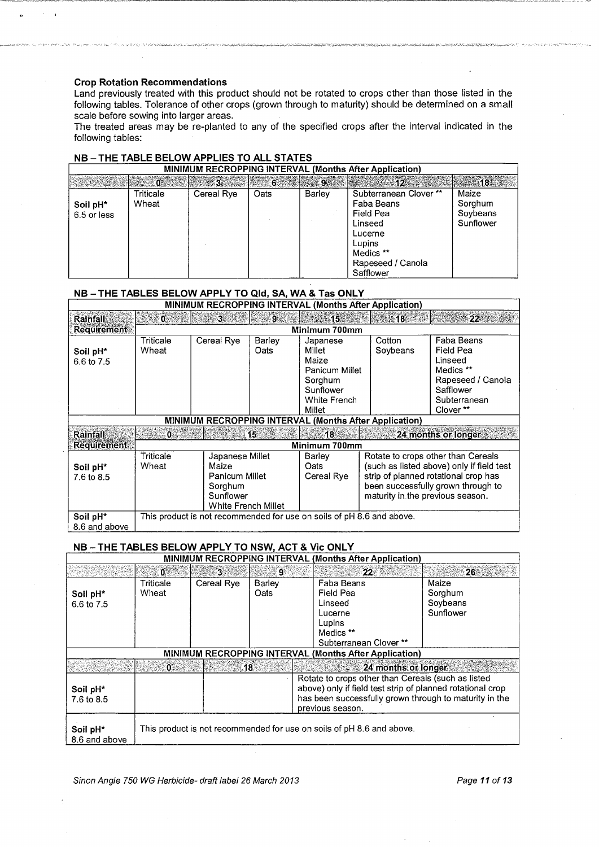#### **Crop Rotation Recommendations**

Land previously treated with this product should not be rotated to crops other than those listed in the following tables. Tolerance of other crops (grown through to maturity) should be determined on a small scale before sowing into larger areas.

The treated areas may be re-planted to any of the specified crops after the interval indicated in the following tables:

| <b>MINIMUM RECROPPING INTERVAL (Months After Application)</b> |           |               |      |        |                       |                              |  |
|---------------------------------------------------------------|-----------|---------------|------|--------|-----------------------|------------------------------|--|
|                                                               |           | 5 6 9 3 6 9 9 |      |        | $\approx 12$          | $\sim$ 18. $\sim$ 18. $\sim$ |  |
|                                                               | Triticale | Cereal Rye    | Oats | Barley | Subterranean Clover** | Maize                        |  |
| Soil pH <sup>*</sup>                                          | Wheat     |               |      |        | Faba Beans            | Sorghum                      |  |
| 6.5 or less                                                   |           |               |      |        | Field Pea             | Soybeans                     |  |
|                                                               |           |               |      |        | Linseed               | Sunflower                    |  |
|                                                               |           |               |      |        | Lucerne               |                              |  |
|                                                               |           |               |      |        | Lupins                |                              |  |
|                                                               |           |               |      |        | Medics **             |                              |  |
|                                                               |           |               |      |        | Rapeseed / Canola     |                              |  |
|                                                               |           |               |      |        | Safflower             |                              |  |

#### NB-THE TABLE BELOW APPLIES TO ALL STATES

#### **NB- THE TABLES BELOW APPLY TO Qld, SA, WA & Tas ONLY**

| <b>MINIMUM RECROPPING INTERVAL (Months After Application)</b> |                    |                                                                                           |                |                                                                                                 |                                  |                                                                                                                                                               |
|---------------------------------------------------------------|--------------------|-------------------------------------------------------------------------------------------|----------------|-------------------------------------------------------------------------------------------------|----------------------------------|---------------------------------------------------------------------------------------------------------------------------------------------------------------|
| <b>Rainfall</b>                                               | ್ 0 ್              | <b>New 31</b>                                                                             | ு இ            | - 153                                                                                           | ి 18 ి                           | 22                                                                                                                                                            |
| <b>Requirement</b>                                            |                    |                                                                                           |                | Minimum 700mm                                                                                   |                                  |                                                                                                                                                               |
| Soil pH <sup>*</sup><br>6.6 to 7.5                            | Triticale<br>Wheat | Cereal Rye                                                                                | Barley<br>Oats | Japanese<br>Millet<br>Maize<br>Panicum Millet<br>Sorghum<br>Sunflower<br>White French<br>Millet | Cotton<br>Soybeans               | Faba Beans<br>Field Pea<br>Linseed<br>Medics **<br>Rapeseed / Canola<br>Safflower<br>Subterranean<br>Clover **                                                |
|                                                               |                    |                                                                                           |                | <b>MINIMUM RECROPPING INTERVAL (Months After Application)</b>                                   |                                  |                                                                                                                                                               |
| <b>Rainfall</b>                                               | $\leq 0$           |                                                                                           | ោ5ៈ            | 18 <sub>1</sub>                                                                                 |                                  | 24 months or longer                                                                                                                                           |
| <b>Requirement</b>                                            |                    |                                                                                           |                | Minimum 700mm                                                                                   |                                  |                                                                                                                                                               |
| Soil pH <sup>*</sup><br>7.6 to 8.5                            | Triticale<br>Wheat | Japanese Millet<br>Maize<br>Panicum Millet<br>Sorghum<br>Sunflower<br>White French Millet |                | Barley<br>Oats<br>Cereal Rye                                                                    | maturity in the previous season. | Rotate to crops other than Cereals<br>(such as listed above) only if field test<br>strip of planned rotational crop has<br>been successfully grown through to |
| Soil pH*<br>8.6 and above                                     |                    |                                                                                           |                | This product is not recommended for use on soils of pH 8.6 and above.                           |                                  |                                                                                                                                                               |

#### NB-THE TABLES BELOW APPLY TO NSW, ACT & Vic ONLY

| <b>MINIMUM RECROPPING INTERVAL (Months After Application)</b> |                                                                       |                                                                                                                                                                                                |                |                                                                                                |                                           |
|---------------------------------------------------------------|-----------------------------------------------------------------------|------------------------------------------------------------------------------------------------------------------------------------------------------------------------------------------------|----------------|------------------------------------------------------------------------------------------------|-------------------------------------------|
|                                                               | . ೦                                                                   | 38                                                                                                                                                                                             | ାଦ୍ୱା          | . 22.                                                                                          |                                           |
| Soil pH*<br>6.6 to 7.5                                        | Triticale<br>Wheat                                                    | Cereal Rye                                                                                                                                                                                     | Barley<br>Oats | Faba Beans<br>Field Pea<br>Linseed<br>Lucerne<br>Lupins<br>Medics **<br>Subterranean Clover ** | Maize<br>Sorghum<br>Soybeans<br>Sunflower |
| <b>MINIMUM RECROPPING INTERVAL (Months After Application)</b> |                                                                       |                                                                                                                                                                                                |                |                                                                                                |                                           |
|                                                               | -01                                                                   | . 18                                                                                                                                                                                           |                | 24 months or longer                                                                            |                                           |
| Soil pH <sup>*</sup><br>7.6 to 8.5                            |                                                                       | Rotate to crops other than Cereals (such as listed<br>above) only if field test strip of planned rotational crop<br>has been successfully grown through to maturity in the<br>previous season. |                |                                                                                                |                                           |
| Soil pH*<br>8.6 and above                                     | This product is not recommended for use on soils of pH 8.6 and above. |                                                                                                                                                                                                |                |                                                                                                |                                           |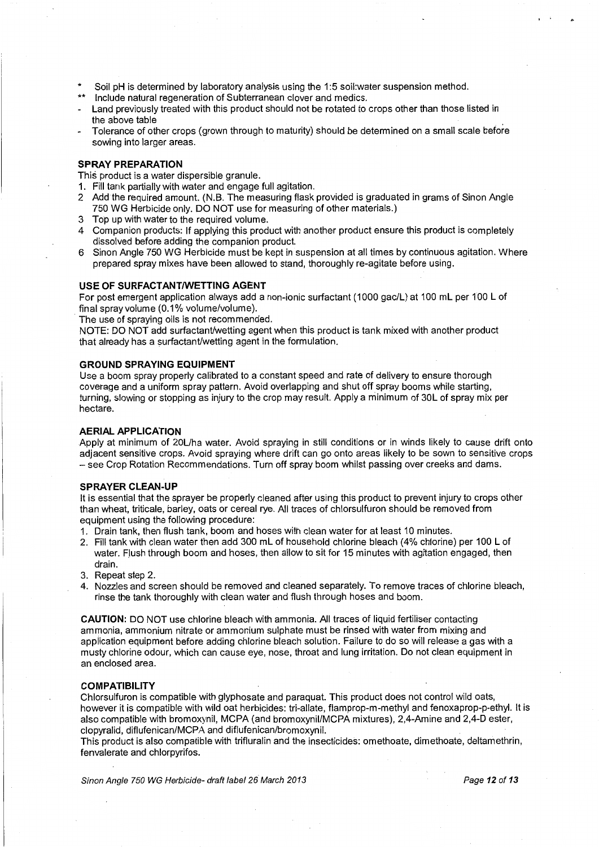- \* Soil pH is determined by laboratory analysis using the 1:5 soil:water suspension method.
- Include natural regeneration of Subterranean clover and medics.
- Land previously treated with this product should not be rotated to crops other than those listed in the above table
- Tolerance of other crops (grown through to maturity) should be determined on a small scale before sowing into larger areas.

#### **SPRAY PREPARATION**

This product is a water dispersible granule.

- 1. Fill tank partially with water and engage full agitation.
- 2 Add the required amount. (N.B. The measuring flask provided is graduated in grams of Sinon Angle 750 WG Herbicide only. DO NOT use for measuring of other materials.)
- 3 Top up with water to the required volume.
- 4 Companion products: If applying this product with another product ensure this product is completely dissolved before adding the companion product.
- 6 Sinon Angle 750 WG Herbicide must be kept in suspension at all times by continuous agitation. Where prepared spray mixes have been allowed to stand, thoroughly re-agitate before using.

#### **USE OF SURFACTANT/WETTING AGENT**

For post emergent application always add a non-ionic surfactant (1000 gac/L) at 100 mL per 100 L of final spray volume (0.1% volume/volume).

The use of spraying oils is not recommended.

NOTE: DO NOT add surfactant/wetting agent when this product is tank mixed with another product that already has a surfactant/wetting agent in the formulation.

#### **GROUND SPRAYING EQUIPMENT**

Use a boom spray properly calibrated to a constant speed and rate of delivery to ensure thorough coverage and a uniform spray pattern. Avoid overlapping and shut off spray booms while starting, turning, slowing or stopping as injury to the crop may result. Apply a minimum of 30L of spray mix per hectare.

#### **AERIAL APPLICATION**

Apply at minimum of 20L/ha water. Avoid spraying in still conditions or in winds likely to cause drift onto adjacent sensitive crops. Avoid spraying where drift can go onto areas likely to be sown to sensitive crops -see Crop Rotation Recommendations. Turn off spray boom whilst passing over creeks and dams.

#### **SPRAYER CLEAN-UP**

It is essential that the sprayer be properly cleaned after using this product to prevent injury to crops other than wheat, triticale, barley, oats or cereal rye. All traces of chlorsulfuron should be removed from equipment using the following procedure:

- 1. Drain tank, then flush tank, boom and hoses with clean water for at least 10 minutes.
- 2. Fill tank with clean water then add 300 mL of household chlorine bleach (4% chlorine) per 100 L of water. Flush through boom and hoses, then allow to sit for 15 minutes with agitation engaged, then drain.
- 3. Repeat step 2.
- 4. Nozzles and screen should be removed and cleaned separately. To remove traces of chlorine bleach, rinse the tank thoroughly with clean water and flush through hoses and boom.

**CAUTION:** DO NOT use chlorine bleach with ammonia. All traces of liquid fertiliser contacting ammonia, ammonium nitrate or ammonium sulphate must be rinsed with water from mixing and application equipment before adding chlorine bleach solution. Failure to do so will release a gas with a musty chlorine odour, which can cause eye, nose, throat and lung irritation. Do not clean equipment in an enclosed area.

#### **COMPATIBILITY**

Chlorsulfuron is compatible with glyphosate and paraquat. This product does not control wild oats, however it is compatible with wild oat herbicides: tri-allate, flamprop-m-methyl and fenoxaprop-p-ethyl. It is also compatible with bromoxynil, MCPA (and bromoxynii/MCPA mixtures), 2,4-Amine and 2,4-D ester, clopyralid, diflufenican/MCPA and diflufenican/bromoxynil.

This product is also compatible with trifluralin and the insecticides: omethoate, dimethoate, deltamethrin, fenvalerate and chlorpyrifos.

Sinon Angle 750 WG Herbicide- draft label 26 March 2013 **Page 12 of 13** Page 12 of 13

 $\cdot$  '